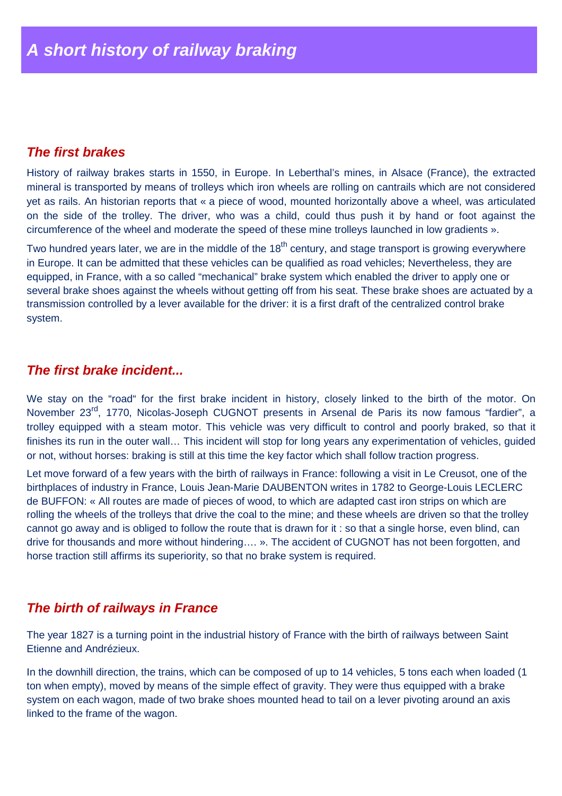#### **The first brakes**

History of railway brakes starts in 1550, in Europe. In Leberthal's mines, in Alsace (France), the extracted mineral is transported by means of trolleys which iron wheels are rolling on cantrails which are not considered yet as rails. An historian reports that « a piece of wood, mounted horizontally above a wheel, was articulated on the side of the trolley. The driver, who was a child, could thus push it by hand or foot against the circumference of the wheel and moderate the speed of these mine trolleys launched in low gradients ».

Two hundred years later, we are in the middle of the 18<sup>th</sup> century, and stage transport is growing everywhere in Europe. It can be admitted that these vehicles can be qualified as road vehicles; Nevertheless, they are equipped, in France, with a so called "mechanical" brake system which enabled the driver to apply one or several brake shoes against the wheels without getting off from his seat. These brake shoes are actuated by a transmission controlled by a lever available for the driver: it is a first draft of the centralized control brake system.

#### **The first brake incident...**

We stay on the "road" for the first brake incident in history, closely linked to the birth of the motor. On November 23<sup>rd</sup>, 1770, Nicolas-Joseph CUGNOT presents in Arsenal de Paris its now famous "fardier", a trolley equipped with a steam motor. This vehicle was very difficult to control and poorly braked, so that it finishes its run in the outer wall... This incident will stop for long years any experimentation of vehicles, guided or not, without horses: braking is still at this time the key factor which shall follow traction progress.

Let move forward of a few years with the birth of railways in France: following a visit in Le Creusot, one of the birthplaces of industry in France, Louis Jean-Marie DAUBENTON writes in 1782 to George-Louis LECLERC de BUFFON: « All routes are made of pieces of wood, to which are adapted cast iron strips on which are rolling the wheels of the trolleys that drive the coal to the mine; and these wheels are driven so that the trolley cannot go away and is obliged to follow the route that is drawn for it : so that a single horse, even blind, can drive for thousands and more without hindering…. ». The accident of CUGNOT has not been forgotten, and horse traction still affirms its superiority, so that no brake system is required.

## **The birth of railways in France**

The year 1827 is a turning point in the industrial history of France with the birth of railways between Saint Etienne and Andrézieux.

In the downhill direction, the trains, which can be composed of up to 14 vehicles, 5 tons each when loaded (1 ton when empty), moved by means of the simple effect of gravity. They were thus equipped with a brake system on each wagon, made of two brake shoes mounted head to tail on a lever pivoting around an axis linked to the frame of the wagon.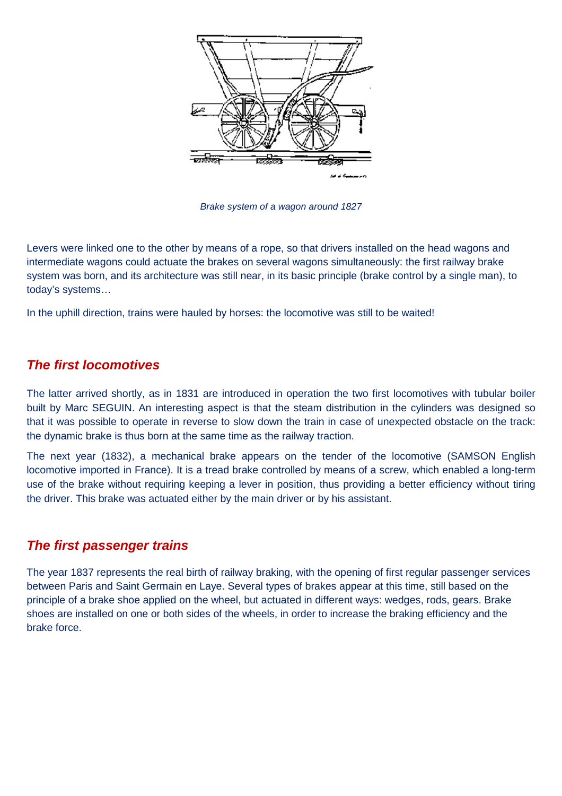

Brake system of a wagon around 1827

Levers were linked one to the other by means of a rope, so that drivers installed on the head wagons and intermediate wagons could actuate the brakes on several wagons simultaneously: the first railway brake system was born, and its architecture was still near, in its basic principle (brake control by a single man), to today's systems…

In the uphill direction, trains were hauled by horses: the locomotive was still to be waited!

# **The first locomotives**

The latter arrived shortly, as in 1831 are introduced in operation the two first locomotives with tubular boiler built by Marc SEGUIN. An interesting aspect is that the steam distribution in the cylinders was designed so that it was possible to operate in reverse to slow down the train in case of unexpected obstacle on the track: the dynamic brake is thus born at the same time as the railway traction.

The next year (1832), a mechanical brake appears on the tender of the locomotive (SAMSON English locomotive imported in France). It is a tread brake controlled by means of a screw, which enabled a long-term use of the brake without requiring keeping a lever in position, thus providing a better efficiency without tiring the driver. This brake was actuated either by the main driver or by his assistant.

## **The first passenger trains**

The year 1837 represents the real birth of railway braking, with the opening of first regular passenger services between Paris and Saint Germain en Laye. Several types of brakes appear at this time, still based on the principle of a brake shoe applied on the wheel, but actuated in different ways: wedges, rods, gears. Brake shoes are installed on one or both sides of the wheels, in order to increase the braking efficiency and the brake force.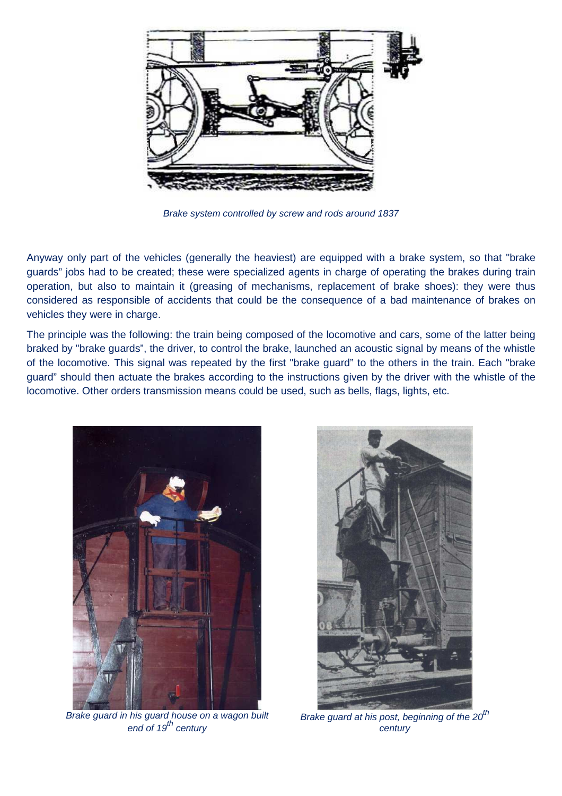

Brake system controlled by screw and rods around 1837

Anyway only part of the vehicles (generally the heaviest) are equipped with a brake system, so that "brake guards" jobs had to be created; these were specialized agents in charge of operating the brakes during train operation, but also to maintain it (greasing of mechanisms, replacement of brake shoes): they were thus considered as responsible of accidents that could be the consequence of a bad maintenance of brakes on vehicles they were in charge.

The principle was the following: the train being composed of the locomotive and cars, some of the latter being braked by "brake guards", the driver, to control the brake, launched an acoustic signal by means of the whistle of the locomotive. This signal was repeated by the first "brake guard" to the others in the train. Each "brake guard" should then actuate the brakes according to the instructions given by the driver with the whistle of the locomotive. Other orders transmission means could be used, such as bells, flags, lights, etc.



Brake guard in his guard house on a wagon built  $end of 19<sup>th</sup> century$ 



Brake guard at his post, beginning of the  $20^{th}$ century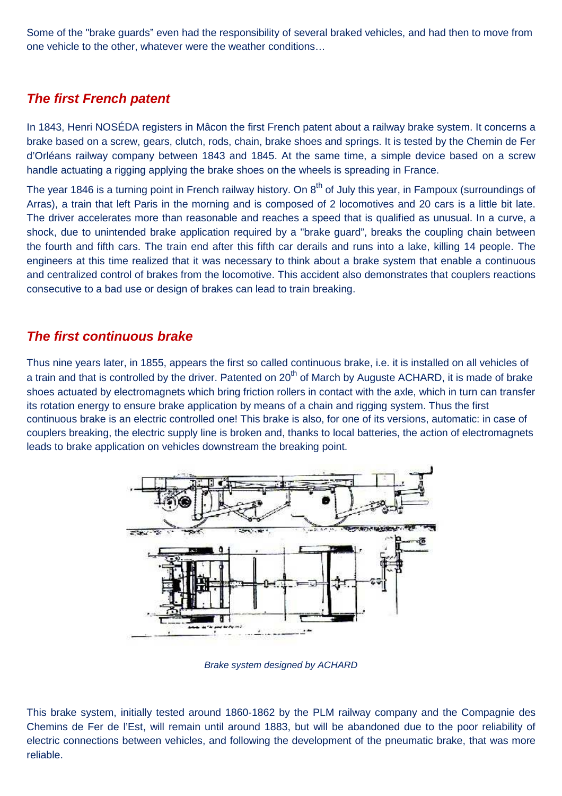Some of the "brake guards" even had the responsibility of several braked vehicles, and had then to move from one vehicle to the other, whatever were the weather conditions…

# **The first French patent**

In 1843, Henri NOSÉDA registers in Mâcon the first French patent about a railway brake system. It concerns a brake based on a screw, gears, clutch, rods, chain, brake shoes and springs. It is tested by the Chemin de Fer d'Orléans railway company between 1843 and 1845. At the same time, a simple device based on a screw handle actuating a rigging applying the brake shoes on the wheels is spreading in France.

The year 1846 is a turning point in French railway history. On  $8<sup>th</sup>$  of July this year, in Fampoux (surroundings of Arras), a train that left Paris in the morning and is composed of 2 locomotives and 20 cars is a little bit late. The driver accelerates more than reasonable and reaches a speed that is qualified as unusual. In a curve, a shock, due to unintended brake application required by a "brake guard", breaks the coupling chain between the fourth and fifth cars. The train end after this fifth car derails and runs into a lake, killing 14 people. The engineers at this time realized that it was necessary to think about a brake system that enable a continuous and centralized control of brakes from the locomotive. This accident also demonstrates that couplers reactions consecutive to a bad use or design of brakes can lead to train breaking.

## **The first continuous brake**

Thus nine years later, in 1855, appears the first so called continuous brake, i.e. it is installed on all vehicles of a train and that is controlled by the driver. Patented on 20<sup>th</sup> of March by Auguste ACHARD, it is made of brake shoes actuated by electromagnets which bring friction rollers in contact with the axle, which in turn can transfer its rotation energy to ensure brake application by means of a chain and rigging system. Thus the first continuous brake is an electric controlled one! This brake is also, for one of its versions, automatic: in case of couplers breaking, the electric supply line is broken and, thanks to local batteries, the action of electromagnets leads to brake application on vehicles downstream the breaking point.



Brake system designed by ACHARD

This brake system, initially tested around 1860-1862 by the PLM railway company and the Compagnie des Chemins de Fer de l'Est, will remain until around 1883, but will be abandoned due to the poor reliability of electric connections between vehicles, and following the development of the pneumatic brake, that was more reliable.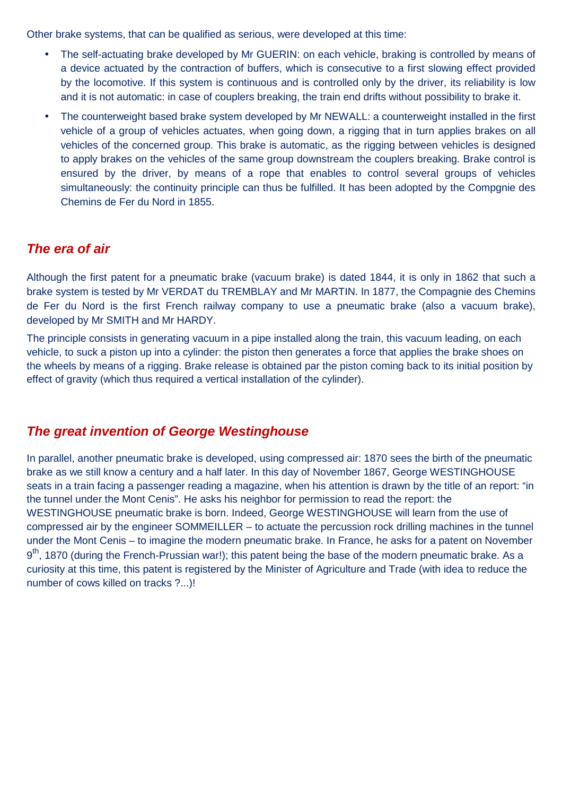Other brake systems, that can be qualified as serious, were developed at this time:

- The self-actuating brake developed by Mr GUERIN: on each vehicle, braking is controlled by means of a device actuated by the contraction of buffers, which is consecutive to a first slowing effect provided by the locomotive. If this system is continuous and is controlled only by the driver, its reliability is low and it is not automatic: in case of couplers breaking, the train end drifts without possibility to brake it.
- The counterweight based brake system developed by Mr NEWALL: a counterweight installed in the first vehicle of a group of vehicles actuates, when going down, a rigging that in turn applies brakes on all vehicles of the concerned group. This brake is automatic, as the rigging between vehicles is designed to apply brakes on the vehicles of the same group downstream the couplers breaking. Brake control is ensured by the driver, by means of a rope that enables to control several groups of vehicles simultaneously: the continuity principle can thus be fulfilled. It has been adopted by the Compgnie des Chemins de Fer du Nord in 1855.

## **The era of air**

Although the first patent for a pneumatic brake (vacuum brake) is dated 1844, it is only in 1862 that such a brake system is tested by Mr VERDAT du TREMBLAY and Mr MARTIN. In 1877, the Compagnie des Chemins de Fer du Nord is the first French railway company to use a pneumatic brake (also a vacuum brake), developed by Mr SMITH and Mr HARDY.

The principle consists in generating vacuum in a pipe installed along the train, this vacuum leading, on each vehicle, to suck a piston up into a cylinder: the piston then generates a force that applies the brake shoes on the wheels by means of a rigging. Brake release is obtained par the piston coming back to its initial position by effect of gravity (which thus required a vertical installation of the cylinder).

# **The great invention of George Westinghouse**

In parallel, another pneumatic brake is developed, using compressed air: 1870 sees the birth of the pneumatic brake as we still know a century and a half later. In this day of November 1867, George WESTINGHOUSE seats in a train facing a passenger reading a magazine, when his attention is drawn by the title of an report: "in the tunnel under the Mont Cenis". He asks his neighbor for permission to read the report: the WESTINGHOUSE pneumatic brake is born. Indeed, George WESTINGHOUSE will learn from the use of compressed air by the engineer SOMMEILLER – to actuate the percussion rock drilling machines in the tunnel under the Mont Cenis – to imagine the modern pneumatic brake. In France, he asks for a patent on November 9<sup>th</sup>, 1870 (during the French-Prussian war!); this patent being the base of the modern pneumatic brake. As a curiosity at this time, this patent is registered by the Minister of Agriculture and Trade (with idea to reduce the number of cows killed on tracks ?...)!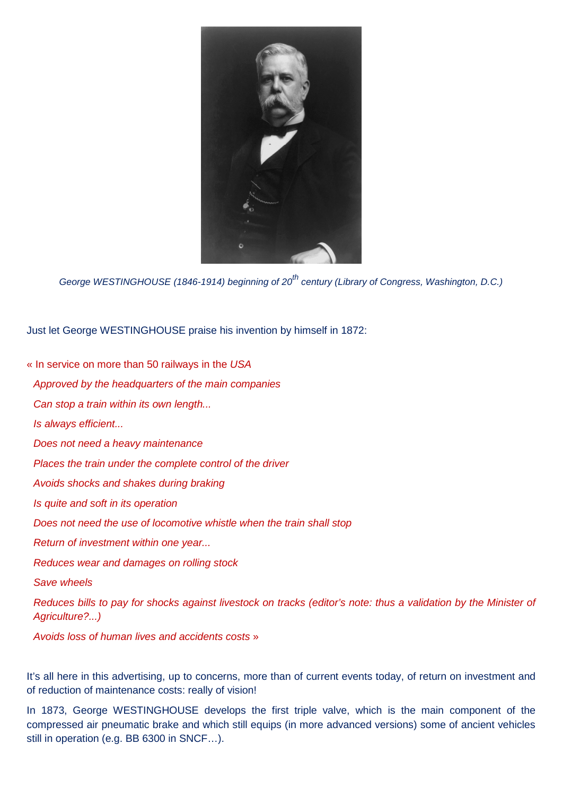

George WESTINGHOUSE (1846-1914) beginning of 20<sup>th</sup> century (Library of Congress, Washington, D.C.)

Just let George WESTINGHOUSE praise his invention by himself in 1872:

- « In service on more than 50 railways in the USA
- Approved by the headquarters of the main companies
- Can stop a train within its own length...
- Is always efficient...
- Does not need a heavy maintenance
- Places the train under the complete control of the driver
- Avoids shocks and shakes during braking
- Is quite and soft in its operation
- Does not need the use of locomotive whistle when the train shall stop
- Return of investment within one year...
- Reduces wear and damages on rolling stock
- Save wheels

Reduces bills to pay for shocks against livestock on tracks (editor's note: thus a validation by the Minister of Agriculture?...)

Avoids loss of human lives and accidents costs »

It's all here in this advertising, up to concerns, more than of current events today, of return on investment and of reduction of maintenance costs: really of vision!

In 1873, George WESTINGHOUSE develops the first triple valve, which is the main component of the compressed air pneumatic brake and which still equips (in more advanced versions) some of ancient vehicles still in operation (e.g. BB 6300 in SNCF…).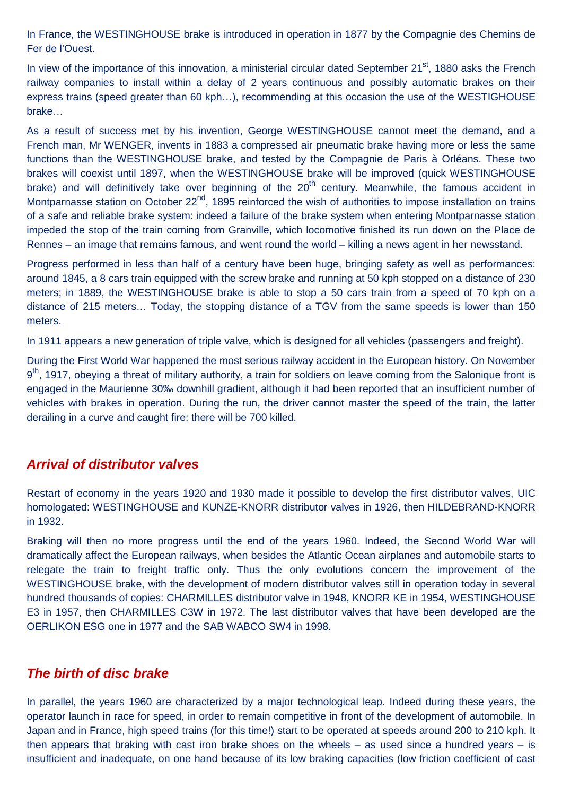In France, the WESTINGHOUSE brake is introduced in operation in 1877 by the Compagnie des Chemins de Fer de l'Ouest.

In view of the importance of this innovation, a ministerial circular dated September 21<sup>st</sup>, 1880 asks the French railway companies to install within a delay of 2 years continuous and possibly automatic brakes on their express trains (speed greater than 60 kph…), recommending at this occasion the use of the WESTIGHOUSE brake…

As a result of success met by his invention, George WESTINGHOUSE cannot meet the demand, and a French man, Mr WENGER, invents in 1883 a compressed air pneumatic brake having more or less the same functions than the WESTINGHOUSE brake, and tested by the Compagnie de Paris à Orléans. These two brakes will coexist until 1897, when the WESTINGHOUSE brake will be improved (quick WESTINGHOUSE brake) and will definitively take over beginning of the  $20<sup>th</sup>$  century. Meanwhile, the famous accident in Montparnasse station on October 22<sup>nd</sup>, 1895 reinforced the wish of authorities to impose installation on trains of a safe and reliable brake system: indeed a failure of the brake system when entering Montparnasse station impeded the stop of the train coming from Granville, which locomotive finished its run down on the Place de Rennes – an image that remains famous, and went round the world – killing a news agent in her newsstand.

Progress performed in less than half of a century have been huge, bringing safety as well as performances: around 1845, a 8 cars train equipped with the screw brake and running at 50 kph stopped on a distance of 230 meters; in 1889, the WESTINGHOUSE brake is able to stop a 50 cars train from a speed of 70 kph on a distance of 215 meters… Today, the stopping distance of a TGV from the same speeds is lower than 150 meters.

In 1911 appears a new generation of triple valve, which is designed for all vehicles (passengers and freight).

During the First World War happened the most serious railway accident in the European history. On November 9<sup>th</sup>, 1917, obeying a threat of military authority, a train for soldiers on leave coming from the Salonique front is engaged in the Maurienne 30‰ downhill gradient, although it had been reported that an insufficient number of vehicles with brakes in operation. During the run, the driver cannot master the speed of the train, the latter derailing in a curve and caught fire: there will be 700 killed.

#### **Arrival of distributor valves**

Restart of economy in the years 1920 and 1930 made it possible to develop the first distributor valves, UIC homologated: WESTINGHOUSE and KUNZE-KNORR distributor valves in 1926, then HILDEBRAND-KNORR in 1932.

Braking will then no more progress until the end of the years 1960. Indeed, the Second World War will dramatically affect the European railways, when besides the Atlantic Ocean airplanes and automobile starts to relegate the train to freight traffic only. Thus the only evolutions concern the improvement of the WESTINGHOUSE brake, with the development of modern distributor valves still in operation today in several hundred thousands of copies: CHARMILLES distributor valve in 1948, KNORR KE in 1954, WESTINGHOUSE E3 in 1957, then CHARMILLES C3W in 1972. The last distributor valves that have been developed are the OERLIKON ESG one in 1977 and the SAB WABCO SW4 in 1998.

#### **The birth of disc brake**

In parallel, the years 1960 are characterized by a major technological leap. Indeed during these years, the operator launch in race for speed, in order to remain competitive in front of the development of automobile. In Japan and in France, high speed trains (for this time!) start to be operated at speeds around 200 to 210 kph. It then appears that braking with cast iron brake shoes on the wheels – as used since a hundred years – is insufficient and inadequate, on one hand because of its low braking capacities (low friction coefficient of cast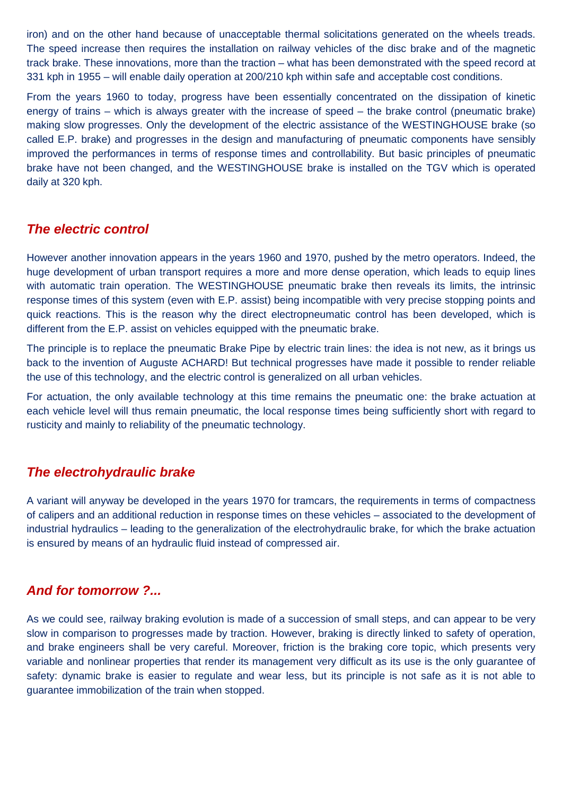iron) and on the other hand because of unacceptable thermal solicitations generated on the wheels treads. The speed increase then requires the installation on railway vehicles of the disc brake and of the magnetic track brake. These innovations, more than the traction – what has been demonstrated with the speed record at 331 kph in 1955 – will enable daily operation at 200/210 kph within safe and acceptable cost conditions.

From the years 1960 to today, progress have been essentially concentrated on the dissipation of kinetic energy of trains – which is always greater with the increase of speed – the brake control (pneumatic brake) making slow progresses. Only the development of the electric assistance of the WESTINGHOUSE brake (so called E.P. brake) and progresses in the design and manufacturing of pneumatic components have sensibly improved the performances in terms of response times and controllability. But basic principles of pneumatic brake have not been changed, and the WESTINGHOUSE brake is installed on the TGV which is operated daily at 320 kph.

## **The electric control**

However another innovation appears in the years 1960 and 1970, pushed by the metro operators. Indeed, the huge development of urban transport requires a more and more dense operation, which leads to equip lines with automatic train operation. The WESTINGHOUSE pneumatic brake then reveals its limits, the intrinsic response times of this system (even with E.P. assist) being incompatible with very precise stopping points and quick reactions. This is the reason why the direct electropneumatic control has been developed, which is different from the E.P. assist on vehicles equipped with the pneumatic brake.

The principle is to replace the pneumatic Brake Pipe by electric train lines: the idea is not new, as it brings us back to the invention of Auguste ACHARD! But technical progresses have made it possible to render reliable the use of this technology, and the electric control is generalized on all urban vehicles.

For actuation, the only available technology at this time remains the pneumatic one: the brake actuation at each vehicle level will thus remain pneumatic, the local response times being sufficiently short with regard to rusticity and mainly to reliability of the pneumatic technology.

#### **The electrohydraulic brake**

A variant will anyway be developed in the years 1970 for tramcars, the requirements in terms of compactness of calipers and an additional reduction in response times on these vehicles – associated to the development of industrial hydraulics – leading to the generalization of the electrohydraulic brake, for which the brake actuation is ensured by means of an hydraulic fluid instead of compressed air.

## **And for tomorrow ?...**

As we could see, railway braking evolution is made of a succession of small steps, and can appear to be very slow in comparison to progresses made by traction. However, braking is directly linked to safety of operation, and brake engineers shall be very careful. Moreover, friction is the braking core topic, which presents very variable and nonlinear properties that render its management very difficult as its use is the only guarantee of safety: dynamic brake is easier to regulate and wear less, but its principle is not safe as it is not able to guarantee immobilization of the train when stopped.